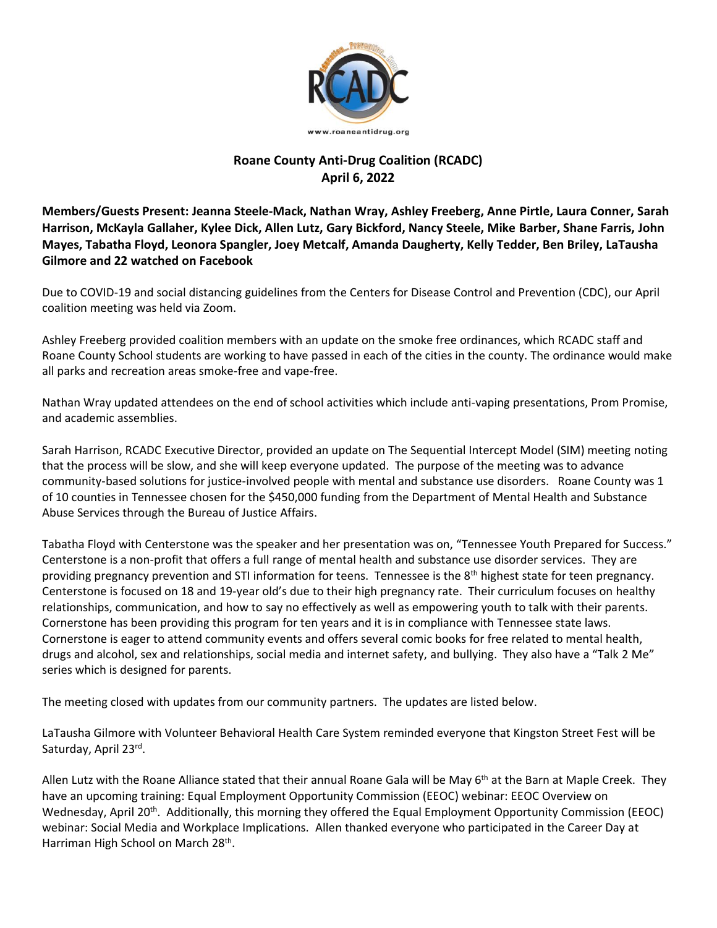

## **Roane County Anti-Drug Coalition (RCADC) April 6, 2022**

**Members/Guests Present: Jeanna Steele-Mack, Nathan Wray, Ashley Freeberg, Anne Pirtle, Laura Conner, Sarah Harrison, McKayla Gallaher, Kylee Dick, Allen Lutz, Gary Bickford, Nancy Steele, Mike Barber, Shane Farris, John Mayes, Tabatha Floyd, Leonora Spangler, Joey Metcalf, Amanda Daugherty, Kelly Tedder, Ben Briley, LaTausha Gilmore and 22 watched on Facebook**

Due to COVID-19 and social distancing guidelines from the Centers for Disease Control and Prevention (CDC), our April coalition meeting was held via Zoom.

Ashley Freeberg provided coalition members with an update on the smoke free ordinances, which RCADC staff and Roane County School students are working to have passed in each of the cities in the county. The ordinance would make all parks and recreation areas smoke-free and vape-free.

Nathan Wray updated attendees on the end of school activities which include anti-vaping presentations, Prom Promise, and academic assemblies.

Sarah Harrison, RCADC Executive Director, provided an update on The Sequential Intercept Model (SIM) meeting noting that the process will be slow, and she will keep everyone updated. The purpose of the meeting was to advance community-based solutions for justice-involved people with mental and substance use disorders. Roane County was 1 of 10 counties in Tennessee chosen for the \$450,000 funding from the Department of Mental Health and Substance Abuse Services through the Bureau of Justice Affairs.

Tabatha Floyd with Centerstone was the speaker and her presentation was on, "Tennessee Youth Prepared for Success." Centerstone is a non-profit that offers a full range of mental health and substance use disorder services. They are providing pregnancy prevention and STI information for teens. Tennessee is the  $8<sup>th</sup>$  highest state for teen pregnancy. Centerstone is focused on 18 and 19-year old's due to their high pregnancy rate. Their curriculum focuses on healthy relationships, communication, and how to say no effectively as well as empowering youth to talk with their parents. Cornerstone has been providing this program for ten years and it is in compliance with Tennessee state laws. Cornerstone is eager to attend community events and offers several comic books for free related to mental health, drugs and alcohol, sex and relationships, social media and internet safety, and bullying. They also have a "Talk 2 Me" series which is designed for parents.

The meeting closed with updates from our community partners. The updates are listed below.

LaTausha Gilmore with Volunteer Behavioral Health Care System reminded everyone that Kingston Street Fest will be Saturday, April 23<sup>rd</sup>.

Allen Lutz with the Roane Alliance stated that their annual Roane Gala will be May  $6<sup>th</sup>$  at the Barn at Maple Creek. They have an upcoming training: Equal Employment Opportunity Commission (EEOC) webinar: EEOC Overview on Wednesday, April 20<sup>th</sup>. Additionally, this morning they offered the Equal Employment Opportunity Commission (EEOC) webinar: Social Media and Workplace Implications. Allen thanked everyone who participated in the Career Day at Harriman High School on March 28<sup>th</sup>.